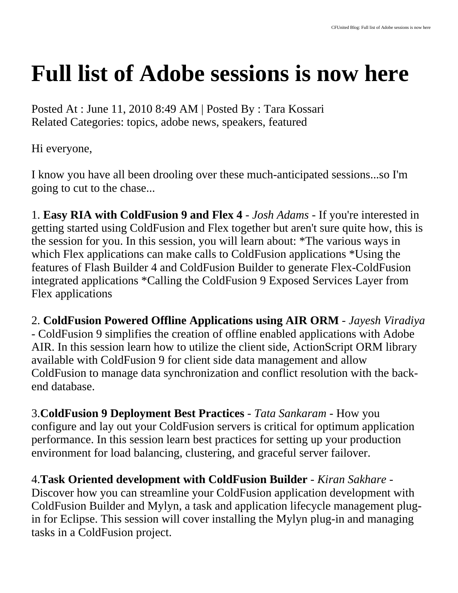## **Full list of Adobe sessions is now here**

Posted At : June 11, 2010 8:49 AM | Posted By : Tara Kossari Related Categories: topics, adobe news, speakers, featured

Hi everyone,

I know you have all been drooling over these much-anticipated sessions...so I'm going to cut to the chase...

1. **Easy RIA with ColdFusion 9 and Flex 4** - *Josh Adams* - If you're interested in getting started using ColdFusion and Flex together but aren't sure quite how, this is the session for you. In this session, you will learn about: \*The various ways in which Flex applications can make calls to ColdFusion applications \*Using the features of Flash Builder 4 and ColdFusion Builder to generate Flex-ColdFusion integrated applications \*Calling the ColdFusion 9 Exposed Services Layer from Flex applications

2. **ColdFusion Powered Offline Applications using AIR ORM** - *Jayesh Viradiya* - ColdFusion 9 simplifies the creation of offline enabled applications with Adobe AIR. In this session learn how to utilize the client side, ActionScript ORM library available with ColdFusion 9 for client side data management and allow ColdFusion to manage data synchronization and conflict resolution with the backend database.

3.**ColdFusion 9 Deployment Best Practices** - *Tata Sankaram* - How you configure and lay out your ColdFusion servers is critical for optimum application performance. In this session learn best practices for setting up your production environment for load balancing, clustering, and graceful server failover.

4.**Task Oriented development with ColdFusion Builder** - *Kiran Sakhare* - Discover how you can streamline your ColdFusion application development with ColdFusion Builder and Mylyn, a task and application lifecycle management plugin for Eclipse. This session will cover installing the Mylyn plug-in and managing tasks in a ColdFusion project.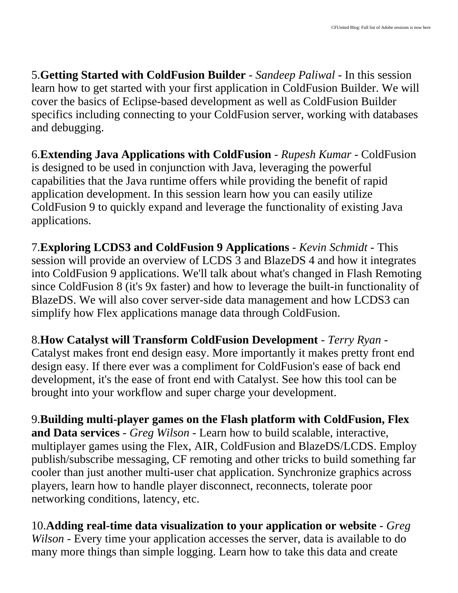5.**Getting Started with ColdFusion Builder** - *Sandeep Paliwal* - In this session learn how to get started with your first application in ColdFusion Builder. We will cover the basics of Eclipse-based development as well as ColdFusion Builder specifics including connecting to your ColdFusion server, working with databases and debugging.

6.**Extending Java Applications with ColdFusion** - *Rupesh Kumar* - ColdFusion is designed to be used in conjunction with Java, leveraging the powerful capabilities that the Java runtime offers while providing the benefit of rapid application development. In this session learn how you can easily utilize ColdFusion 9 to quickly expand and leverage the functionality of existing Java applications.

7.**Exploring LCDS3 and ColdFusion 9 Applications** - *Kevin Schmidt* - This session will provide an overview of LCDS 3 and BlazeDS 4 and how it integrates into ColdFusion 9 applications. We'll talk about what's changed in Flash Remoting since ColdFusion 8 (it's 9x faster) and how to leverage the built-in functionality of BlazeDS. We will also cover server-side data management and how LCDS3 can simplify how Flex applications manage data through ColdFusion.

8.**How Catalyst will Transform ColdFusion Development** - *Terry Ryan* - Catalyst makes front end design easy. More importantly it makes pretty front end design easy. If there ever was a compliment for ColdFusion's ease of back end development, it's the ease of front end with Catalyst. See how this tool can be brought into your workflow and super charge your development.

9.**Building multi-player games on the Flash platform with ColdFusion, Flex and Data services** - *Greg Wilson* - Learn how to build scalable, interactive, multiplayer games using the Flex, AIR, ColdFusion and BlazeDS/LCDS. Employ publish/subscribe messaging, CF remoting and other tricks to build something far cooler than just another multi-user chat application. Synchronize graphics across players, learn how to handle player disconnect, reconnects, tolerate poor networking conditions, latency, etc.

10.**Adding real-time data visualization to your application or website** - *Greg Wilson* - Every time your application accesses the server, data is available to do many more things than simple logging. Learn how to take this data and create